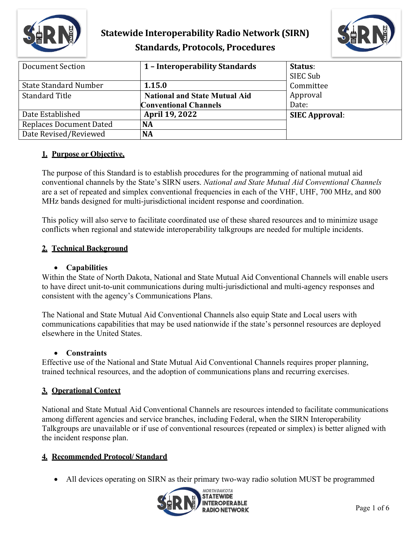



| Document Section               | 1 - Interoperability Standards       | Status:<br>SIEC Sub   |
|--------------------------------|--------------------------------------|-----------------------|
| <b>State Standard Number</b>   | 1.15.0                               | Committee             |
| <b>Standard Title</b>          | <b>National and State Mutual Aid</b> | Approval              |
|                                | <b>Conventional Channels</b>         | Date:                 |
| Date Established               | <b>April 19, 2022</b>                | <b>SIEC Approval:</b> |
| <b>Replaces Document Dated</b> | <b>NA</b>                            |                       |
| Date Revised/Reviewed          | <b>NA</b>                            |                       |

## **1. Purpose or Objective,**

The purpose of this Standard is to establish procedures for the programming of national mutual aid conventional channels by the State's SIRN users. *National and State Mutual Aid Conventional Channels* are a set of repeated and simplex conventional frequencies in each of the VHF, UHF, 700 MHz, and 800 MHz bands designed for multi-jurisdictional incident response and coordination.

This policy will also serve to facilitate coordinated use of these shared resources and to minimize usage conflicts when regional and statewide interoperability talkgroups are needed for multiple incidents.

### **2. Technical Background**

#### • **Capabilities**

Within the State of North Dakota, National and State Mutual Aid Conventional Channels will enable users to have direct unit-to-unit communications during multi-jurisdictional and multi-agency responses and consistent with the agency's Communications Plans.

The National and State Mutual Aid Conventional Channels also equip State and Local users with communications capabilities that may be used nationwide if the state's personnel resources are deployed elsewhere in the United States.

### • **Constraints**

Effective use of the National and State Mutual Aid Conventional Channels requires proper planning, trained technical resources, and the adoption of communications plans and recurring exercises.

## **3. Operational Context**

National and State Mutual Aid Conventional Channels are resources intended to facilitate communications among different agencies and service branches, including Federal, when the SIRN Interoperability Talkgroups are unavailable or if use of conventional resources (repeated or simplex) is better aligned with the incident response plan.

### **4. Recommended Protocol/ Standard**

• All devices operating on SIRN as their primary two-way radio solution MUST be programmed

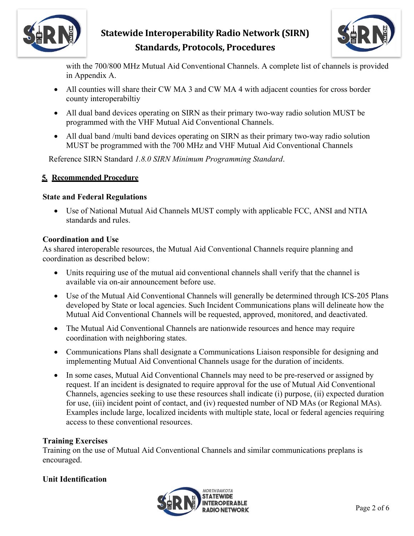



with the 700/800 MHz Mutual Aid Conventional Channels. A complete list of channels is provided in Appendix A.

- All counties will share their CW MA 3 and CW MA 4 with adjacent counties for cross border county interoperabiltiy
- All dual band devices operating on SIRN as their primary two-way radio solution MUST be programmed with the VHF Mutual Aid Conventional Channels.
- All dual band /multi band devices operating on SIRN as their primary two-way radio solution MUST be programmed with the 700 MHz and VHF Mutual Aid Conventional Channels

Reference SIRN Standard *1.8.0 SIRN Minimum Programming Standard*.

### **5. Recommended Procedure**

### **State and Federal Regulations**

• Use of National Mutual Aid Channels MUST comply with applicable FCC, ANSI and NTIA standards and rules.

### **Coordination and Use**

As shared interoperable resources, the Mutual Aid Conventional Channels require planning and coordination as described below:

- Units requiring use of the mutual aid conventional channels shall verify that the channel is available via on-air announcement before use.
- Use of the Mutual Aid Conventional Channels will generally be determined through ICS-205 Plans developed by State or local agencies. Such Incident Communications plans will delineate how the Mutual Aid Conventional Channels will be requested, approved, monitored, and deactivated.
- The Mutual Aid Conventional Channels are nationwide resources and hence may require coordination with neighboring states.
- Communications Plans shall designate a Communications Liaison responsible for designing and implementing Mutual Aid Conventional Channels usage for the duration of incidents.
- In some cases, Mutual Aid Conventional Channels may need to be pre-reserved or assigned by request. If an incident is designated to require approval for the use of Mutual Aid Conventional Channels, agencies seeking to use these resources shall indicate (i) purpose, (ii) expected duration for use, (iii) incident point of contact, and (iv) requested number of ND MAs (or Regional MAs). Examples include large, localized incidents with multiple state, local or federal agencies requiring access to these conventional resources.

## **Training Exercises**

Training on the use of Mutual Aid Conventional Channels and similar communications preplans is encouraged.

## **Unit Identification**

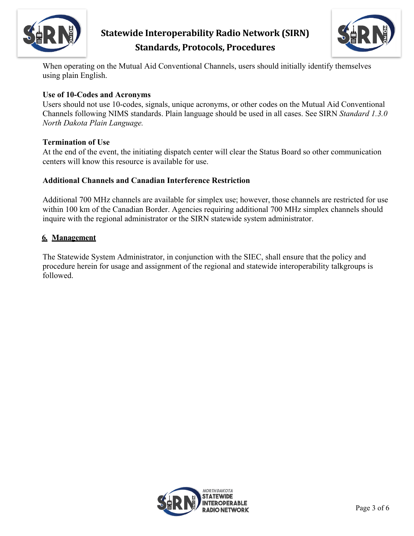



When operating on the Mutual Aid Conventional Channels, users should initially identify themselves using plain English.

### **Use of 10-Codes and Acronyms**

Users should not use 10-codes, signals, unique acronyms, or other codes on the Mutual Aid Conventional Channels following NIMS standards. Plain language should be used in all cases. See SIRN *Standard 1.3.0 North Dakota Plain Language.*

### **Termination of Use**

At the end of the event, the initiating dispatch center will clear the Status Board so other communication centers will know this resource is available for use.

## **Additional Channels and Canadian Interference Restriction**

Additional 700 MHz channels are available for simplex use; however, those channels are restricted for use within 100 km of the Canadian Border. Agencies requiring additional 700 MHz simplex channels should inquire with the regional administrator or the SIRN statewide system administrator.

### **6. Management**

The Statewide System Administrator, in conjunction with the SIEC, shall ensure that the policy and procedure herein for usage and assignment of the regional and statewide interoperability talkgroups is followed.

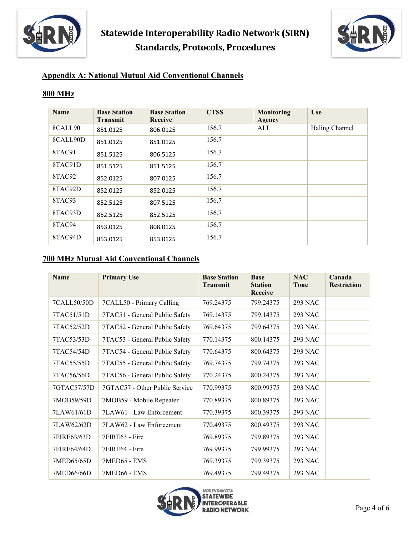



## **Appendix A: National Mutual Aid Conventional Channels**

### **800 MHz**

| <b>Name</b> | <b>Base Station</b><br><b>Transmit</b> | <b>Base Station</b><br><b>Receive</b> | <b>CTSS</b> | Monitoring<br>Agency | <b>Use</b>     |
|-------------|----------------------------------------|---------------------------------------|-------------|----------------------|----------------|
| 8CALL90     | 851.0125                               | 806.0125                              | 156.7       | ALL                  | Haling Channel |
| 8CALL90D    | 851.0125                               | 851.0125                              | 156.7       |                      |                |
| 8TAC91      | 851.5125                               | 806.5125                              | 156.7       |                      |                |
| 8TAC91D     | 851.5125                               | 851.5125                              | 156.7       |                      |                |
| 8TAC92      | 852.0125                               | 807.0125                              | 156.7       |                      |                |
| 8TAC92D     | 852.0125                               | 852.0125                              | 156.7       |                      |                |
| 8TAC93      | 852.5125                               | 807.5125                              | 156.7       |                      |                |
| 8TAC93D     | 852.5125                               | 852.5125                              | 156.7       |                      |                |
| 8TAC94      | 853.0125                               | 808.0125                              | 156.7       |                      |                |
| 8TAC94D     | 853.0125                               | 853.0125                              | 156.7       |                      |                |

## **700 MHz Mutual Aid Conventional Channels**

| <b>Name</b> | <b>Primary Use</b>             | <b>Base Station</b><br><b>Transmit</b> | <b>Base</b><br><b>Station</b><br>Receive | <b>NAC</b><br><b>Tone</b> | Canada<br><b>Restriction</b> |
|-------------|--------------------------------|----------------------------------------|------------------------------------------|---------------------------|------------------------------|
| 7CALL50/50D | 7CALL50 - Primary Calling      | 769.24375                              | 799.24375                                | 293 NAC                   |                              |
| 7TAC51/51D  | 7TAC51 - General Public Safety | 769.14375                              | 799.14375                                | 293 NAC                   |                              |
| 7TAC52/52D  | 7TAC52 - General Public Safety | 769.64375                              | 799.64375                                | <b>293 NAC</b>            |                              |
| 7TAC53/53D  | 7TAC53 - General Public Safety | 770.14375                              | 800.14375                                | <b>293 NAC</b>            |                              |
| 7TAC54/54D  | 7TAC54 - General Public Safety | 770.64375                              | 800.64375                                | <b>293 NAC</b>            |                              |
| 7TAC55/55D  | 7TAC55 - General Public Safety | 769.74375                              | 799.74375                                | <b>293 NAC</b>            |                              |
| 7TAC56/56D  | 7TAC56 - General Public Safety | 770.24375                              | 800.24375                                | 293 NAC                   |                              |
| 7GTAC57/57D | 7GTAC57 - Other Public Service | 770.99375                              | 800.99375                                | <b>293 NAC</b>            |                              |
| 7MOB59/59D  | 7MOB59 - Mobile Repeater       | 770.89375                              | 800.89375                                | 293 NAC                   |                              |
| 7LAW61/61D  | 7LAW61 - Law Enforcement       | 770.39375                              | 800.39375                                | <b>293 NAC</b>            |                              |
| 7LAW62/62D  | 7LAW62 - Law Enforcement       | 770.49375                              | 800.49375                                | <b>293 NAC</b>            |                              |
| 7FIRE63/63D | 7FIRE63 - Fire                 | 769.89375                              | 799.89375                                | <b>293 NAC</b>            |                              |
| 7FIRE64/64D | 7FIRE64 - Fire                 | 769.99375                              | 799.99375                                | <b>293 NAC</b>            |                              |
| 7MED65/65D  | 7MED65 - EMS                   | 769.39375                              | 799.39375                                | <b>293 NAC</b>            |                              |
| 7MED66/66D  | 7MED66 - EMS                   | 769.49375                              | 799.49375                                | <b>293 NAC</b>            |                              |

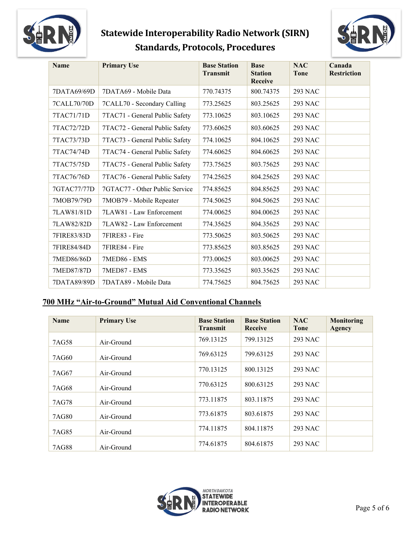



| <b>Name</b> | <b>Primary Use</b>             | <b>Base Station</b><br><b>Transmit</b> | <b>Base</b><br><b>Station</b><br><b>Receive</b> | <b>NAC</b><br><b>Tone</b> | Canada<br><b>Restriction</b> |
|-------------|--------------------------------|----------------------------------------|-------------------------------------------------|---------------------------|------------------------------|
| 7DATA69/69D | 7DATA69 - Mobile Data          | 770.74375                              | 800.74375                                       | 293 NAC                   |                              |
| 7CALL70/70D | 7CALL70 - Secondary Calling    | 773.25625                              | 803.25625                                       | <b>293 NAC</b>            |                              |
| 7TAC71/71D  | 7TAC71 - General Public Safety | 773.10625                              | 803.10625                                       | <b>293 NAC</b>            |                              |
| 7TAC72/72D  | 7TAC72 - General Public Safety | 773.60625                              | 803.60625                                       | <b>293 NAC</b>            |                              |
| 7TAC73/73D  | 7TAC73 - General Public Safety | 774.10625                              | 804.10625                                       | <b>293 NAC</b>            |                              |
| 7TAC74/74D  | 7TAC74 - General Public Safety | 774.60625                              | 804.60625                                       | <b>293 NAC</b>            |                              |
| 7TAC75/75D  | 7TAC75 - General Public Safety | 773.75625                              | 803.75625                                       | <b>293 NAC</b>            |                              |
| 7TAC76/76D  | 7TAC76 - General Public Safety | 774.25625                              | 804.25625                                       | <b>293 NAC</b>            |                              |
| 7GTAC77/77D | 7GTAC77 - Other Public Service | 774.85625                              | 804.85625                                       | <b>293 NAC</b>            |                              |
| 7MOB79/79D  | 7MOB79 - Mobile Repeater       | 774.50625                              | 804.50625                                       | <b>293 NAC</b>            |                              |
| 7LAW81/81D  | 7LAW81 - Law Enforcement       | 774.00625                              | 804.00625                                       | <b>293 NAC</b>            |                              |
| 7LAW82/82D  | 7LAW82 - Law Enforcement       | 774.35625                              | 804.35625                                       | <b>293 NAC</b>            |                              |
| 7FIRE83/83D | 7FIRE83 - Fire                 | 773.50625                              | 803.50625                                       | <b>293 NAC</b>            |                              |
| 7FIRE84/84D | 7FIRE84 - Fire                 | 773.85625                              | 803.85625                                       | <b>293 NAC</b>            |                              |
| 7MED86/86D  | 7MED86 - EMS                   | 773.00625                              | 803.00625                                       | <b>293 NAC</b>            |                              |
| 7MED87/87D  | 7MED87 - EMS                   | 773.35625                              | 803.35625                                       | <b>293 NAC</b>            |                              |
| 7DATA89/89D | 7DATA89 - Mobile Data          | 774.75625                              | 804.75625                                       | <b>293 NAC</b>            |                              |

## **700 MHz "Air-to-Ground" Mutual Aid Conventional Channels**

| <b>Name</b> | <b>Primary Use</b> | <b>Base Station</b><br><b>Transmit</b> | <b>Base Station</b><br><b>Receive</b> | <b>NAC</b><br><b>Tone</b> | <b>Monitoring</b><br><b>Agency</b> |
|-------------|--------------------|----------------------------------------|---------------------------------------|---------------------------|------------------------------------|
| 7AG58       | Air-Ground         | 769.13125                              | 799.13125                             | 293 NAC                   |                                    |
| 7AG60       | Air-Ground         | 769.63125                              | 799.63125                             | 293 NAC                   |                                    |
| 7AG67       | Air-Ground         | 770.13125                              | 800.13125                             | 293 NAC                   |                                    |
| 7AG68       | Air-Ground         | 770.63125                              | 800.63125                             | 293 NAC                   |                                    |
| 7AG78       | Air-Ground         | 773.11875                              | 803.11875                             | 293 NAC                   |                                    |
| 7AG80       | Air-Ground         | 773.61875                              | 803.61875                             | 293 NAC                   |                                    |
| 7AG85       | Air-Ground         | 774.11875                              | 804.11875                             | 293 NAC                   |                                    |
| 7AG88       | Air-Ground         | 774.61875                              | 804.61875                             | 293 NAC                   |                                    |